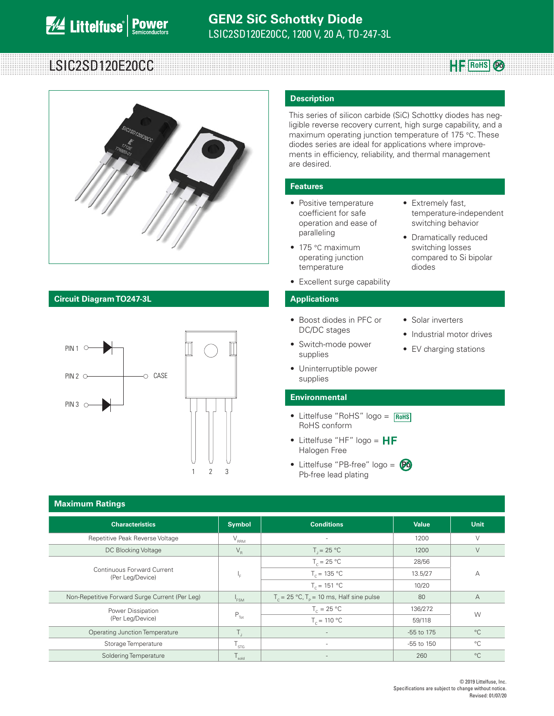## LSIC2SD120E20CC **RowardSLSIC2SD120E20CC**



## **Circuit Diagram TO247-3L Applications**



## **Description**

This series of silicon carbide (SiC) Schottky diodes has negligible reverse recovery current, high surge capability, and a maximum operating junction temperature of 175 °C. These diodes series are ideal for applications where improvements in efficiency, reliability, and thermal management are desired.

## **Features**

- Positive temperature coefficient for safe operation and ease of paralleling
- 175 °C maximum operating junction temperature
- Excellent surge capability

- Boost diodes in PFC or DC/DC stages
- Switch-mode power supplies
- Solar inverters

diodes

• Extremely fast,

temperature-independent switching behavior • Dramatically reduced switching losses compared to Si bipolar

**HF** RoHS  $\odot$ 

- Industrial motor drives
- EV charging stations
- Uninterruptible power supplies

## **Environmental**

- Littelfuse "RoHS" logo = **RoHS** RoHS conform
- Littelfuse "HF" logo =  $HF$ Halogen Free
- Littelfuse "PB-free" logo = **Pb** Pb-free lead plating

| <b>Maximum Ratings</b>                                |                                               |                                                             |                |                |  |  |
|-------------------------------------------------------|-----------------------------------------------|-------------------------------------------------------------|----------------|----------------|--|--|
| <b>Characteristics</b>                                | <b>Symbol</b>                                 | <b>Conditions</b>                                           | <b>Value</b>   | <b>Unit</b>    |  |  |
| Repetitive Peak Reverse Voltage                       | $V_{\text{RRM}}$                              | $\overline{\phantom{a}}$                                    | 1200           | $\vee$         |  |  |
| DC Blocking Voltage                                   | $\mathsf{V}_{\scriptscriptstyle{\mathsf{R}}}$ | $T = 25 °C$                                                 | 1200           | $\vee$         |  |  |
| <b>Continuous Forward Current</b><br>(Per Leg/Device) | '⊨                                            | $T_c = 25 °C$                                               | 28/56          |                |  |  |
|                                                       |                                               | $T_c = 135 °C$                                              | 13.5/27        | $\overline{A}$ |  |  |
|                                                       |                                               | $T_c = 151 °C$                                              | 10/20          |                |  |  |
| Non-Repetitive Forward Surge Current (Per Leg)        | $I_{FSM}$                                     | $T_c = 25 \text{ °C}, T_p = 10 \text{ ms},$ Half sine pulse | 80             | $\overline{A}$ |  |  |
| Power Dissipation<br>(Per Leg/Device)                 | $P_{\text{Tot}}$                              | $T_c = 25 °C$                                               | 136/272        | W              |  |  |
|                                                       |                                               | $T_c = 110 °C$                                              | 59/118         |                |  |  |
| <b>Operating Junction Temperature</b>                 | $T_{\rm J}$                                   |                                                             | -55 to 175     | $^{\circ}$ C   |  |  |
| Storage Temperature                                   | $\mathsf{I}_{\mathsf{STG}}$                   | $\overline{\phantom{a}}$                                    | $-55$ to $150$ | $^{\circ}$ C   |  |  |
| Soldering Temperature                                 | $T_{\rm sold}$                                |                                                             | 260            | $^{\circ}C$    |  |  |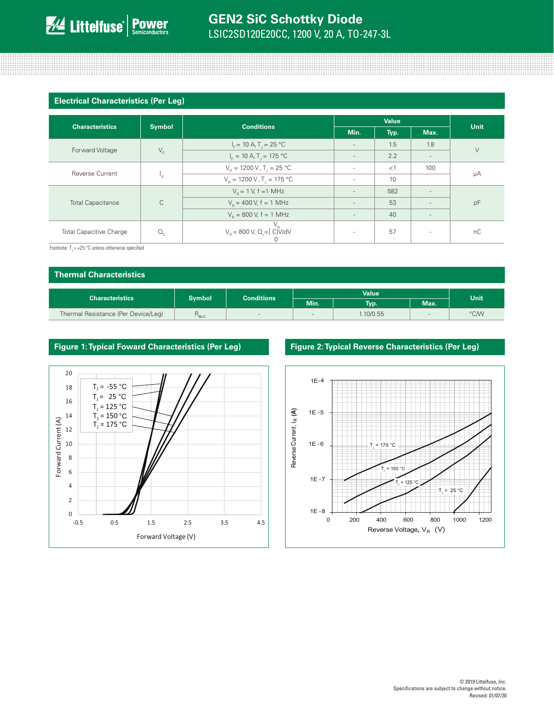## **Electrical Characteristics (Per Leg)**

| <b>Symbol</b><br><b>Characteristics</b> |              | <b>Conditions</b>                                        | Value                    |       |                          | <b>Unit</b> |
|-----------------------------------------|--------------|----------------------------------------------------------|--------------------------|-------|--------------------------|-------------|
|                                         |              |                                                          | Min.                     | Typ.  | Max.                     |             |
| Forward Voltage                         |              | $IF = 10 A, TT = 25 °C$                                  | $\sim$                   | 1.5   | 1.8                      | $\vee$      |
|                                         | $V_F$        | $I_F = 10 A, T = 175 °C$                                 |                          | 2.2   |                          |             |
| <b>Reverse Current</b>                  |              | $V_p = 1200 \text{ V}$ , T <sub>1</sub> = 25 °C          | $\sim$                   | $<$ 1 | 100                      |             |
|                                         | ١R           | $V_{\rm B} = 1200 \, \text{V}$ , T <sub>1</sub> = 175 °C | $\sim$                   | 10    |                          | μA          |
|                                         |              | $V_{\rm B} = 1$ V, f = 1 MHz                             | $\overline{\phantom{a}}$ | 582   | $\sim$                   |             |
| <b>Total Capacitance</b>                | $\mathsf{C}$ | $V_p = 400 V$ , f = 1 MHz                                | $\overline{\phantom{a}}$ | 53    |                          | pF          |
|                                         |              | $V_e = 800$ V, f = 1 MHz                                 | $\overline{\phantom{a}}$ | 40    | $\sim$                   |             |
| <b>Total Capacitive Charge</b>          | $Q_c$        | $V_R = 800 \text{ V}, Q_c = \int C(V) dV$<br>U           | ٠                        | 57    | $\overline{\phantom{a}}$ | nC          |

Footnote:  $T_1 = +25 °C$  unless otherwise specified

| <b>Thermal Characteristics</b>      |                        |                          |                          |              |        |      |
|-------------------------------------|------------------------|--------------------------|--------------------------|--------------|--------|------|
| <b>Characteristics</b>              | <b>Symbol</b>          | <b>Conditions</b>        |                          | <b>Value</b> |        | Unit |
|                                     |                        |                          | Min.                     | Typ.         | Max.   |      |
| Thermal Resistance (Per Device/Leg) | $R_{\Theta \text{JC}}$ | $\overline{\phantom{a}}$ | $\overline{\phantom{a}}$ | 1.10/0.55    | $\sim$ | °C/W |





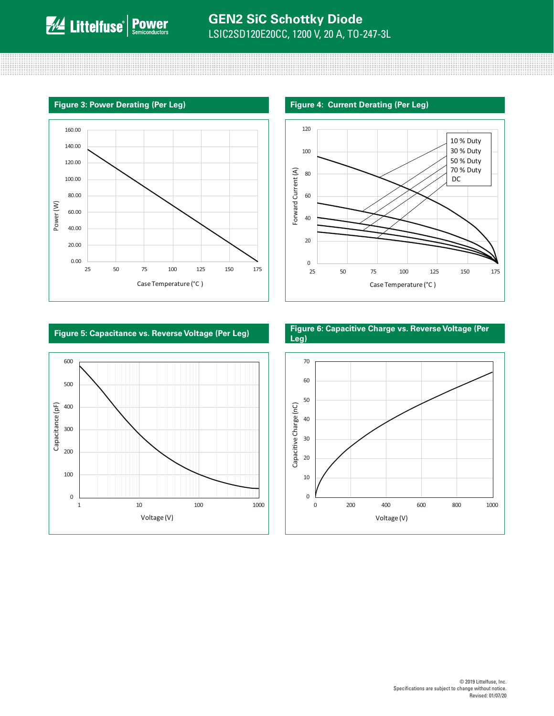







**Figure 5: Capacitance vs. Reverse Voltage (Per Leg) Figure 6: Capacitive Charge vs. Reverse Voltage (Per Leg)**



© 2019 Littelfuse, Inc.

Revised: 01/07/20

Specifications are subject to change without notice.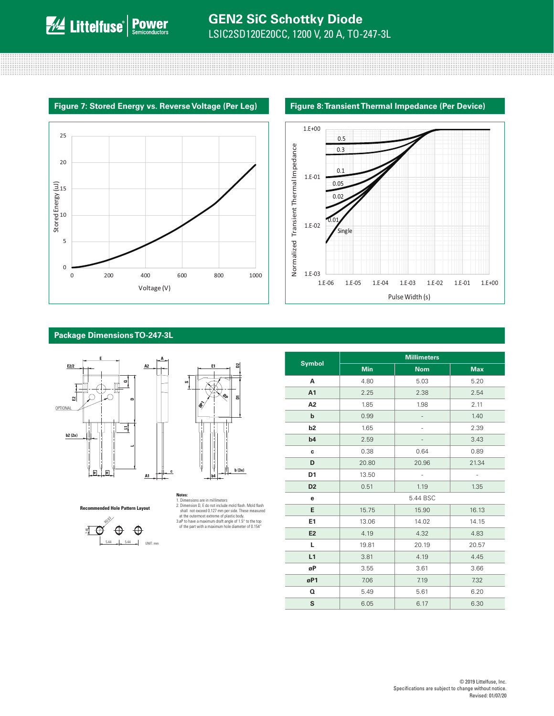



## **Package Dimensions TO-247-3L**







# **Notes:**<br>1. Dimensions are in millimeters

1. Dimensions are in millimeters<br>2. Dimension D, E do not include mold flash. Mold flash<br>shall not exceed 0.127 mm per side. These measured<br>at the outermost extreme of plastic body.<br>3.0P to have a maximum draft angle of 1

**D2**

<u>π</u> **ØP**

|                | <b>Millimeters</b> |               |               |  |  |  |
|----------------|--------------------|---------------|---------------|--|--|--|
| <b>Symbol</b>  | <b>Min</b>         | <b>Nom</b>    | <b>Max</b>    |  |  |  |
| А              | 4.80               | 5.03          | 5.20          |  |  |  |
| A <sub>1</sub> | 2.25               | 2.38          | 2.54          |  |  |  |
| A2             | 1.85               | 1.98          | 2.11          |  |  |  |
| $\mathbf b$    | 0.99               |               | 1.40          |  |  |  |
| b2             | 1.65               |               | 2.39          |  |  |  |
| b4             | 2.59               |               | 3.43          |  |  |  |
| c              | 0.38               | 0.64          | 0.89          |  |  |  |
| D              | 20.80              | 20.96         | 21.34         |  |  |  |
| D <sub>1</sub> | 13.50              | $\frac{1}{2}$ | $\frac{1}{2}$ |  |  |  |
| D <sub>2</sub> | 0.51               | 1.19          | 1.35          |  |  |  |
| е              |                    | 5.44 BSC      |               |  |  |  |
| E              | 15.75              | 15.90         | 16.13         |  |  |  |
| E1             | 13.06              | 14.02         | 14.15         |  |  |  |
| E <sub>2</sub> | 4.19               | 4.32          | 4.83          |  |  |  |
| L              | 19.81              | 20.19         | 20.57         |  |  |  |
| L1             | 3.81               | 4.19          | 4.45          |  |  |  |
| øP             | 3.55               | 3.61          | 3.66          |  |  |  |
| øP1            | 7.06               | 7.19          | 7.32          |  |  |  |
| $\Omega$       | 5.49               | 5.61          | 6.20          |  |  |  |
| S              | 6.05               | 6.17          | 6.30          |  |  |  |